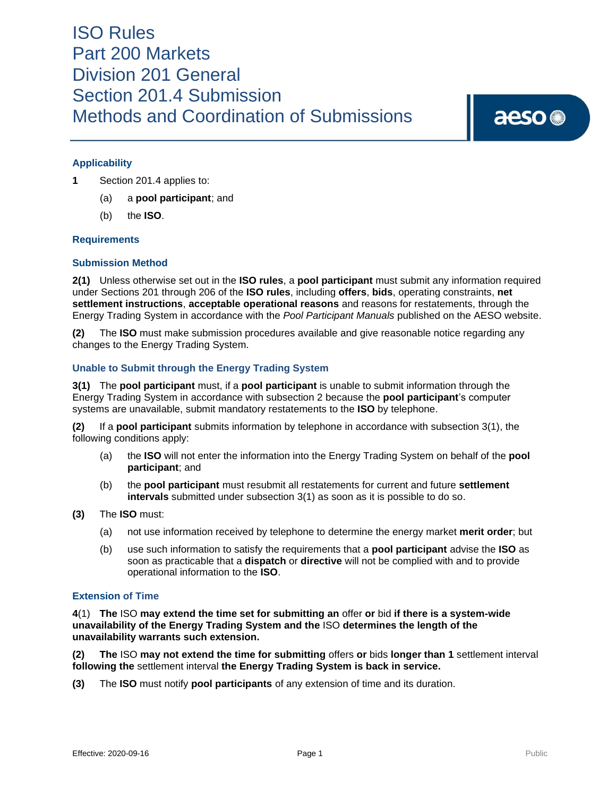# ISO Rules Part 200 Markets Division 201 General Section 201.4 Submission Methods and Coordination of Submissions

# aeso<sup>®</sup>

# **Applicability**

- **1** Section 201.4 applies to:
	- (a) a **pool participant**; and
	- (b) the **ISO**.

## **Requirements**

## **Submission Method**

**2(1)** Unless otherwise set out in the **ISO rules**, a **pool participant** must submit any information required under Sections 201 through 206 of the **ISO rules**, including **offers**, **bids**, operating constraints, **net settlement instructions**, **acceptable operational reasons** and reasons for restatements, through the Energy Trading System in accordance with the *Pool Participant Manuals* published on the AESO website.

**(2)** The **ISO** must make submission procedures available and give reasonable notice regarding any changes to the Energy Trading System.

# **Unable to Submit through the Energy Trading System**

**3(1)** The **pool participant** must, if a **pool participant** is unable to submit information through the Energy Trading System in accordance with subsection 2 because the **pool participant**'s computer systems are unavailable, submit mandatory restatements to the **ISO** by telephone.

**(2)** If a **pool participant** submits information by telephone in accordance with subsection 3(1), the following conditions apply:

- (a) the **ISO** will not enter the information into the Energy Trading System on behalf of the **pool participant**; and
- (b) the **pool participant** must resubmit all restatements for current and future **settlement intervals** submitted under subsection 3(1) as soon as it is possible to do so.
- **(3)** The **ISO** must:
	- (a) not use information received by telephone to determine the energy market **merit order**; but
	- (b) use such information to satisfy the requirements that a **pool participant** advise the **ISO** as soon as practicable that a **dispatch** or **directive** will not be complied with and to provide operational information to the **ISO**.

## **Extension of Time**

**4**(1) **The** ISO **may extend the time set for submitting an** offer **or** bid **if there is a system-wide unavailability of the Energy Trading System and the** ISO **determines the length of the unavailability warrants such extension.**

**(2) The** ISO **may not extend the time for submitting** offers **or** bids **longer than 1** settlement interval **following the** settlement interval **the Energy Trading System is back in service.**

**(3)** The **ISO** must notify **pool participants** of any extension of time and its duration.